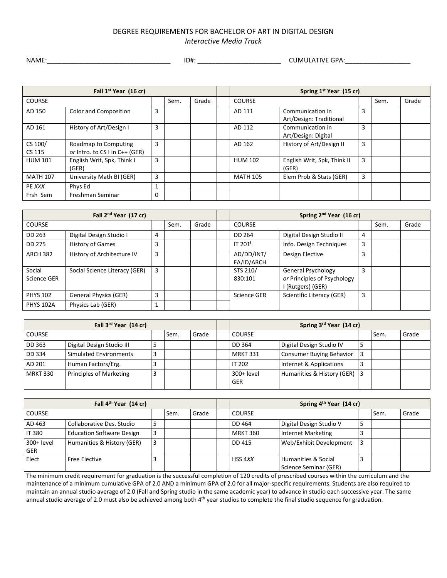## DEGREE REQUIREMENTS FOR BACHELOR OF ART IN DIGITAL DESIGN *Interactive Media Track*

NAME:\_\_\_\_\_\_\_\_\_\_\_\_\_\_\_\_\_\_\_\_\_\_\_\_\_\_\_\_\_\_\_\_\_\_ ID#: \_\_\_\_\_\_\_\_\_\_\_\_\_\_\_\_\_\_\_\_\_\_\_ CUMULATIVE GPA:\_\_\_\_\_\_\_\_\_\_\_\_\_\_\_\_\_\_

| Fall 1 <sup>st</sup> Year (16 cr) |                                                        |          |      |       | Spring 1 <sup>st</sup> Year (15 cr) |                                             |   |      |       |
|-----------------------------------|--------------------------------------------------------|----------|------|-------|-------------------------------------|---------------------------------------------|---|------|-------|
| <b>COURSE</b>                     |                                                        |          | Sem. | Grade | <b>COURSE</b>                       |                                             |   | Sem. | Grade |
| AD 150                            | Color and Composition                                  | 3        |      |       | AD 111                              | Communication in<br>Art/Design: Traditional | 3 |      |       |
| AD 161                            | History of Art/Design I                                | 3        |      |       | AD 112                              | Communication in<br>Art/Design: Digital     | 3 |      |       |
| CS 100/<br>CS 115                 | Roadmap to Computing<br>or Intro. to CS I in C++ (GER) | 3        |      |       | AD 162                              | History of Art/Design II                    | 3 |      |       |
| <b>HUM 101</b>                    | English Writ, Spk, Think I<br>(GER)                    | 3        |      |       | <b>HUM 102</b>                      | English Writ, Spk, Think II<br>(GER)        | 3 |      |       |
| <b>MATH 107</b>                   | University Math BI (GER)                               | 3        |      |       | <b>MATH 105</b>                     | Elem Prob & Stats (GER)                     | 3 |      |       |
| PE XXX                            | Phys Ed                                                |          |      |       |                                     |                                             |   |      |       |
| Frsh Sem                          | Freshman Seminar                                       | $\Omega$ |      |       |                                     |                                             |   |      |       |

| Fall 2 <sup>nd</sup> Year (17 cr) |                               |   |      |       | Spring 2 <sup>nd</sup> Year (16 cr) |                                                                               |   |      |       |
|-----------------------------------|-------------------------------|---|------|-------|-------------------------------------|-------------------------------------------------------------------------------|---|------|-------|
| <b>COURSE</b>                     |                               |   | Sem. | Grade | <b>COURSE</b>                       |                                                                               |   | Sem. | Grade |
| DD 263                            | Digital Design Studio I       | 4 |      |       | DD 264                              | Digital Design Studio II                                                      | 4 |      |       |
| DD 275                            | History of Games              | 3 |      |       | IT 201 <sup>t</sup>                 | Info. Design Techniques                                                       | 3 |      |       |
| <b>ARCH 382</b>                   | History of Architecture IV    | 3 |      |       | AD/DD/INT/<br>FA/ID/ARCH            | Design Elective                                                               | 3 |      |       |
| Social<br>Science GER             | Social Science Literacy (GER) | 3 |      |       | STS 210/<br>830:101                 | <b>General Psychology</b><br>or Principles of Psychology<br>I (Rutgers) (GER) | 3 |      |       |
| <b>PHYS 102</b>                   | <b>General Physics (GER)</b>  | 3 |      |       | <b>Science GER</b>                  | Scientific Literacy (GER)                                                     | 3 |      |       |
| <b>PHYS 102A</b>                  | Physics Lab (GER)             |   |      |       |                                     |                                                                               |   |      |       |

| Fall 3 <sup>rd</sup> Year (14 cr) |                                |    |      |       | Spring 3rd Year (14 cr)   |                              |   |      |       |
|-----------------------------------|--------------------------------|----|------|-------|---------------------------|------------------------------|---|------|-------|
| <b>COURSE</b>                     |                                |    | Sem. | Grade | <b>COURSE</b>             |                              |   | Sem. | Grade |
| DD 363                            | Digital Design Studio III      | -5 |      |       | DD 364                    | Digital Design Studio IV     | 5 |      |       |
| DD 334                            | Simulated Environments         | 3  |      |       | MRKT 331                  | Consumer Buying Behavior     |   |      |       |
| AD 201                            | Human Factors/Erg.             |    |      |       | IT 202                    | Internet & Applications      | 3 |      |       |
| <b>MRKT 330</b>                   | <b>Principles of Marketing</b> | 3  |      |       | $300+level$<br><b>GER</b> | Humanities & History (GER) 3 |   |      |       |

| Fall 4 <sup>th</sup> Year (14 cr) |                                  |   |      |       | Spring 4 <sup>th</sup> Year (14 cr) |                                              |                |      |       |
|-----------------------------------|----------------------------------|---|------|-------|-------------------------------------|----------------------------------------------|----------------|------|-------|
| <b>COURSE</b>                     |                                  |   | Sem. | Grade | <b>COURSE</b>                       |                                              |                | Sem. | Grade |
| AD 463                            | Collaborative Des. Studio        | 5 |      |       | DD 464                              | Digital Design Studio V                      | 5              |      |       |
| <b>IT 380</b>                     | <b>Education Software Design</b> |   |      |       | <b>MRKT 360</b>                     | <b>Internet Marketing</b>                    |                |      |       |
| 300+ level<br><b>GER</b>          | Humanities & History (GER)       |   |      |       | DD 415                              | Web/Exhibit Development                      | 3              |      |       |
| Elect                             | Free Elective                    |   |      |       | HSS 4XX                             | Humanities & Social<br>Science Seminar (GER) | $\overline{3}$ |      |       |

The minimum credit requirement for graduation is the successful completion of 120 credits of prescribed courses within the curriculum and the maintenance of a minimum cumulative GPA of 2.0 AND a minimum GPA of 2.0 for all major-specific requirements. Students are also required to maintain an annual studio average of 2.0 (Fall and Spring studio in the same academic year) to advance in studio each successive year. The same annual studio average of 2.0 must also be achieved among both 4<sup>th</sup> year studios to complete the final studio sequence for graduation.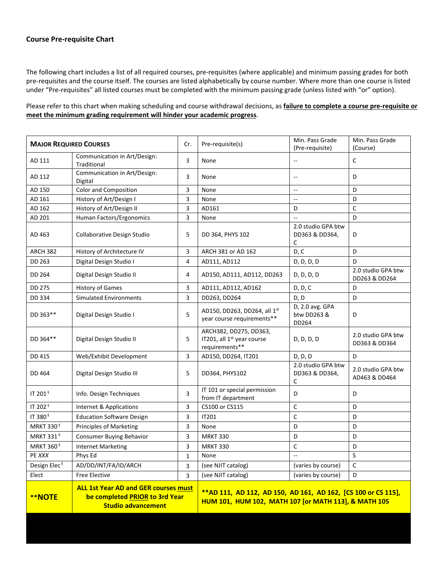## **Course Pre-requisite Chart**

The following chart includes a list of all required courses, pre-requisites (where applicable) and minimum passing grades for both pre-requisites and the course itself. The courses are listed alphabetically by course number. Where more than one course is listed under "Pre-requisites" all listed courses must be completed with the minimum passing grade (unless listed with "or" option).

Please refer to this chart when making scheduling and course withdrawal decisions, as **failure to complete a course pre-requisite or meet the minimum grading requirement will hinder your academic progress**.

| <b>MAJOR REQUIRED COURSES</b>                                                                                               |                                             | Cr.          | Pre-requisite(s)                                                                                                       | Min. Pass Grade<br>(Pre-requisite)        | Min. Pass Grade<br>(Course)         |
|-----------------------------------------------------------------------------------------------------------------------------|---------------------------------------------|--------------|------------------------------------------------------------------------------------------------------------------------|-------------------------------------------|-------------------------------------|
| AD 111                                                                                                                      | Communication in Art/Design:<br>Traditional | 3            | None                                                                                                                   | $- -$                                     | C                                   |
| AD 112                                                                                                                      | Communication in Art/Design:<br>Digital     | 3            | None                                                                                                                   | $\qquad \qquad -$                         | D                                   |
| AD 150                                                                                                                      | Color and Composition                       | 3            | None                                                                                                                   | $\overline{\phantom{a}}$                  | D                                   |
| AD 161                                                                                                                      | History of Art/Design I                     | 3            | None                                                                                                                   | $\qquad \qquad -$                         | D                                   |
| AD 162                                                                                                                      | History of Art/Design II                    | 3            | AD161                                                                                                                  | D                                         | $\mathsf{C}$                        |
| AD 201                                                                                                                      | Human Factors/Ergonomics                    | 3            | None                                                                                                                   |                                           | D                                   |
| AD 463                                                                                                                      | Collaborative Design Studio                 | 5            | DD 364, PHYS 102                                                                                                       | 2.0 studio GPA btw<br>DD363 & DD364,<br>C | D                                   |
| ARCH 382                                                                                                                    | History of Architecture IV                  | 3            | ARCH 381 or AD 162                                                                                                     | D, C                                      | D                                   |
| DD 263                                                                                                                      | Digital Design Studio I                     | 4            | AD111, AD112                                                                                                           | D, D, D, D                                | D                                   |
| DD 264                                                                                                                      | Digital Design Studio II                    | 4            | AD150, AD111, AD112, DD263                                                                                             | D, D, D, D                                | 2.0 studio GPA btw<br>DD263 & DD264 |
| <b>DD 275</b>                                                                                                               | <b>History of Games</b>                     | 3            | AD111, AD112, AD162                                                                                                    | D, D, C                                   | D                                   |
| DD 334                                                                                                                      | <b>Simulated Environments</b>               | 3            | DD263, DD264                                                                                                           | D, D                                      | D                                   |
| DD 363**                                                                                                                    | Digital Design Studio I                     | 5            | AD150, DD263, DD264, all 1st<br>year course requirements**                                                             | D, 2.0 avg. GPA<br>btw DD263 &<br>DD264   | D                                   |
| DD 364**                                                                                                                    | Digital Design Studio II                    | 5            | ARCH382, DD275, DD363,<br>IT201, all 1 <sup>st</sup> year course<br>requirements**                                     | D, D, D, D                                | 2.0 studio GPA btw<br>DD363 & DD364 |
| DD 415                                                                                                                      | Web/Exhibit Development                     | 3            | AD150, DD264, IT201                                                                                                    | D, D, D                                   | D                                   |
| DD 464                                                                                                                      | Digital Design Studio III                   | 5            | DD364, PHYS102                                                                                                         | 2.0 studio GPA btw<br>DD363 & DD364,<br>С | 2.0 studio GPA btw<br>AD463 & DD464 |
| IT 201 <sup>t</sup>                                                                                                         | Info. Design Techniques                     | 3            | IT 101 or special permission<br>from IT department                                                                     | D                                         | D                                   |
| IT 202 <sup>t</sup>                                                                                                         | Internet & Applications                     | 3            | CS100 or CS115                                                                                                         | $\mathsf C$                               | D                                   |
| IT 380 <sup>t</sup>                                                                                                         | <b>Education Software Design</b>            | 3            | IT201                                                                                                                  | $\mathsf C$                               | D                                   |
| <b>MRKT 330<sup>t</sup></b>                                                                                                 | <b>Principles of Marketing</b>              | 3            | None                                                                                                                   | D                                         | D                                   |
| <b>MRKT 331<sup>t</sup></b>                                                                                                 | <b>Consumer Buying Behavior</b>             | 3            | <b>MRKT 330</b>                                                                                                        | D                                         | D                                   |
| MRKT 360 <sup>t</sup>                                                                                                       | <b>Internet Marketing</b>                   | 3            | <b>MRKT 330</b>                                                                                                        | $\mathsf C$                               | D                                   |
| PE XXX                                                                                                                      | Phys Ed                                     | $\mathbf{1}$ | None                                                                                                                   | $\overline{\phantom{a}}$                  | S                                   |
| Design Elec <sup>t</sup>                                                                                                    | AD/DD/INT/FA/ID/ARCH                        | 3            | (see NJIT catalog)                                                                                                     | (varies by course)                        | c                                   |
| Elect                                                                                                                       | <b>Free Elective</b>                        | 3            | (see NJIT catalog)                                                                                                     | (varies by course)                        | D                                   |
| <b>ALL 1st Year AD and GER courses must</b><br>be completed PRIOR to 3rd Year<br><b>**NOTE</b><br><b>Studio advancement</b> |                                             |              | ** AD 111, AD 112, AD 150, AD 161, AD 162, [CS 100 or CS 115],<br>HUM 101, HUM 102, MATH 107 [or MATH 113], & MATH 105 |                                           |                                     |
|                                                                                                                             |                                             |              |                                                                                                                        |                                           |                                     |